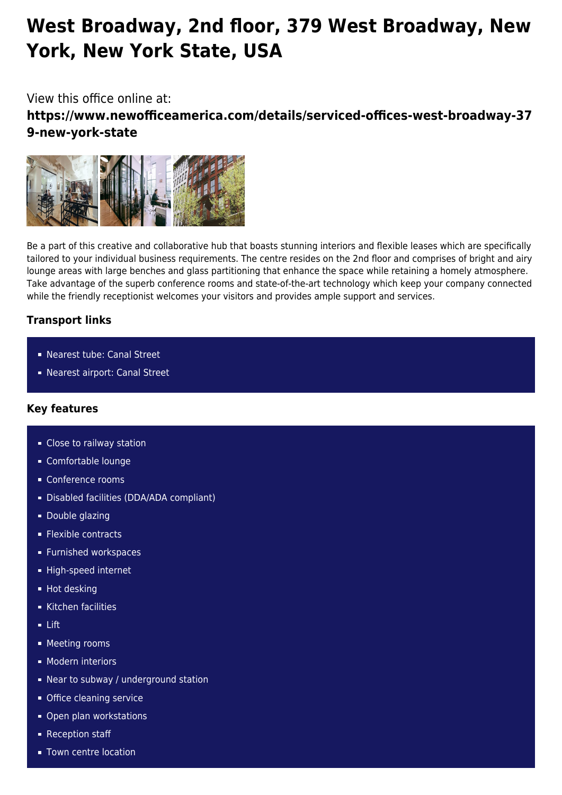# **West Broadway, 2nd floor, 379 West Broadway, New York, New York State, USA**

## View this office online at:

**https://www.newofficeamerica.com/details/serviced-offices-west-broadway-37 9-new-york-state**



Be a part of this creative and collaborative hub that boasts stunning interiors and flexible leases which are specifically tailored to your individual business requirements. The centre resides on the 2nd floor and comprises of bright and airy lounge areas with large benches and glass partitioning that enhance the space while retaining a homely atmosphere. Take advantage of the superb conference rooms and state-of-the-art technology which keep your company connected while the friendly receptionist welcomes your visitors and provides ample support and services.

### **Transport links**

- Nearest tube: Canal Street
- Nearest airport: Canal Street

#### **Key features**

- **Close to railway station**
- Comfortable lounge
- Conference rooms
- Disabled facilities (DDA/ADA compliant)
- **Double glazing**
- **Flexible contracts**
- **Furnished workspaces**
- High-speed internet
- **Hot desking**
- Kitchen facilities
- Lift
- **Meeting rooms**
- **Modern interiors**
- Near to subway / underground station
- **Office cleaning service**
- **Open plan workstations**
- Reception staff
- **Town centre location**